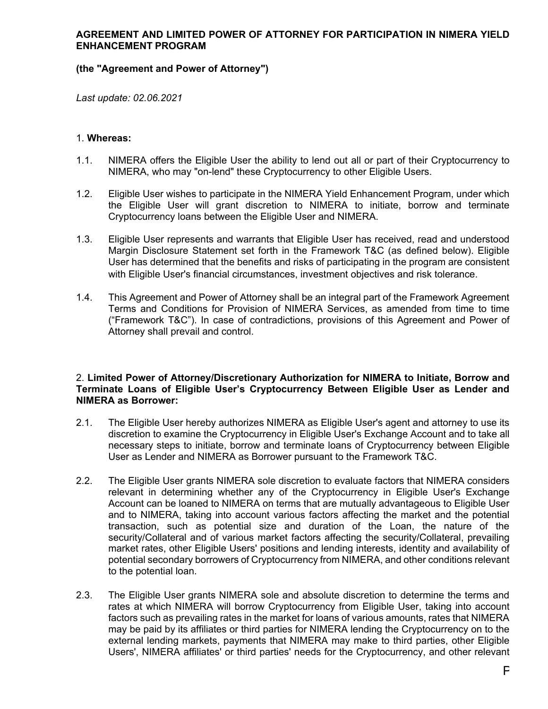### **AGREEMENT AND LIMITED POWER OF ATTORNEY FOR PARTICIPATION IN NIMERA YIELD ENHANCEMENT PROGRAM**

# **(the "Agreement and Power of Attorney")**

*Last update: 02.06.2021*

### 1. **Whereas:**

- 1.1. NIMERA offers the Eligible User the ability to lend out all or part of their Cryptocurrency to NIMERA, who may "on-lend" these Cryptocurrency to other Eligible Users.
- 1.2. Eligible User wishes to participate in the NIMERA Yield Enhancement Program, under which the Eligible User will grant discretion to NIMERA to initiate, borrow and terminate Cryptocurrency loans between the Eligible User and NIMERA.
- 1.3. Eligible User represents and warrants that Eligible User has received, read and understood Margin Disclosure Statement set forth in the Framework T&C (as defined below). Eligible User has determined that the benefits and risks of participating in the program are consistent with Eligible User's financial circumstances, investment objectives and risk tolerance.
- 1.4. This Agreement and Power of Attorney shall be an integral part of the Framework Agreement Terms and Conditions for Provision of NIMERA Services, as amended from time to time ("Framework T&C"). In case of contradictions, provisions of this Agreement and Power of Attorney shall prevail and control.

### 2. **Limited Power of Attorney/Discretionary Authorization for NIMERA to Initiate, Borrow and Terminate Loans of Eligible User's Cryptocurrency Between Eligible User as Lender and NIMERA as Borrower:**

- 2.1. The Eligible User hereby authorizes NIMERA as Eligible User's agent and attorney to use its discretion to examine the Cryptocurrency in Eligible User's Exchange Account and to take all necessary steps to initiate, borrow and terminate loans of Cryptocurrency between Eligible User as Lender and NIMERA as Borrower pursuant to the Framework T&C.
- 2.2. The Eligible User grants NIMERA sole discretion to evaluate factors that NIMERA considers relevant in determining whether any of the Cryptocurrency in Eligible User's Exchange Account can be loaned to NIMERA on terms that are mutually advantageous to Eligible User and to NIMERA, taking into account various factors affecting the market and the potential transaction, such as potential size and duration of the Loan, the nature of the security/Collateral and of various market factors affecting the security/Collateral, prevailing market rates, other Eligible Users' positions and lending interests, identity and availability of potential secondary borrowers of Cryptocurrency from NIMERA, and other conditions relevant to the potential loan.
- 2.3. The Eligible User grants NIMERA sole and absolute discretion to determine the terms and rates at which NIMERA will borrow Cryptocurrency from Eligible User, taking into account factors such as prevailing rates in the market for loans of various amounts, rates that NIMERA may be paid by its affiliates or third parties for NIMERA lending the Cryptocurrency on to the external lending markets, payments that NIMERA may make to third parties, other Eligible Users', NIMERA affiliates' or third parties' needs for the Cryptocurrency, and other relevant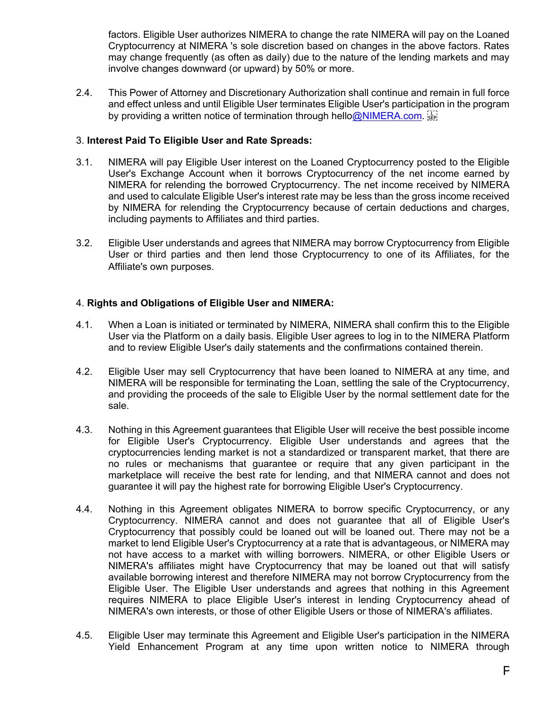factors. Eligible User authorizes NIMERA to change the rate NIMERA will pay on the Loaned Cryptocurrency at NIMERA 's sole discretion based on changes in the above factors. Rates may change frequently (as often as daily) due to the nature of the lending markets and may involve changes downward (or upward) by 50% or more.

2.4. This Power of Attorney and Discretionary Authorization shall continue and remain in full force and effect unless and until Eligible User terminates Eligible User's participation in the program by providing a written notice of termination through hell[o@NIMERA.com.](mailto:help@exscudo.com)

# 3. **Interest Paid To Eligible User and Rate Spreads:**

- 3.1. NIMERA will pay Eligible User interest on the Loaned Cryptocurrency posted to the Eligible User's Exchange Account when it borrows Cryptocurrency of the net income earned by NIMERA for relending the borrowed Cryptocurrency. The net income received by NIMERA and used to calculate Eligible User's interest rate may be less than the gross income received by NIMERA for relending the Cryptocurrency because of certain deductions and charges, including payments to Affiliates and third parties.
- 3.2. Eligible User understands and agrees that NIMERA may borrow Cryptocurrency from Eligible User or third parties and then lend those Cryptocurrency to one of its Affiliates, for the Affiliate's own purposes.

# 4. **Rights and Obligations of Eligible User and NIMERA:**

- 4.1. When a Loan is initiated or terminated by NIMERA, NIMERA shall confirm this to the Eligible User via the Platform on a daily basis. Eligible User agrees to log in to the NIMERA Platform and to review Eligible User's daily statements and the confirmations contained therein.
- 4.2. Eligible User may sell Cryptocurrency that have been loaned to NIMERA at any time, and NIMERA will be responsible for terminating the Loan, settling the sale of the Cryptocurrency, and providing the proceeds of the sale to Eligible User by the normal settlement date for the sale.
- 4.3. Nothing in this Agreement guarantees that Eligible User will receive the best possible income for Eligible User's Cryptocurrency. Eligible User understands and agrees that the cryptocurrencies lending market is not a standardized or transparent market, that there are no rules or mechanisms that guarantee or require that any given participant in the marketplace will receive the best rate for lending, and that NIMERA cannot and does not guarantee it will pay the highest rate for borrowing Eligible User's Cryptocurrency.
- 4.4. Nothing in this Agreement obligates NIMERA to borrow specific Cryptocurrency, or any Cryptocurrency. NIMERA cannot and does not guarantee that all of Eligible User's Cryptocurrency that possibly could be loaned out will be loaned out. There may not be a market to lend Eligible User's Cryptocurrency at a rate that is advantageous, or NIMERA may not have access to a market with willing borrowers. NIMERA, or other Eligible Users or NIMERA's affiliates might have Cryptocurrency that may be loaned out that will satisfy available borrowing interest and therefore NIMERA may not borrow Cryptocurrency from the Eligible User. The Eligible User understands and agrees that nothing in this Agreement requires NIMERA to place Eligible User's interest in lending Cryptocurrency ahead of NIMERA's own interests, or those of other Eligible Users or those of NIMERA's affiliates.
- 4.5. Eligible User may terminate this Agreement and Eligible User's participation in the NIMERA Yield Enhancement Program at any time upon written notice to NIMERA through